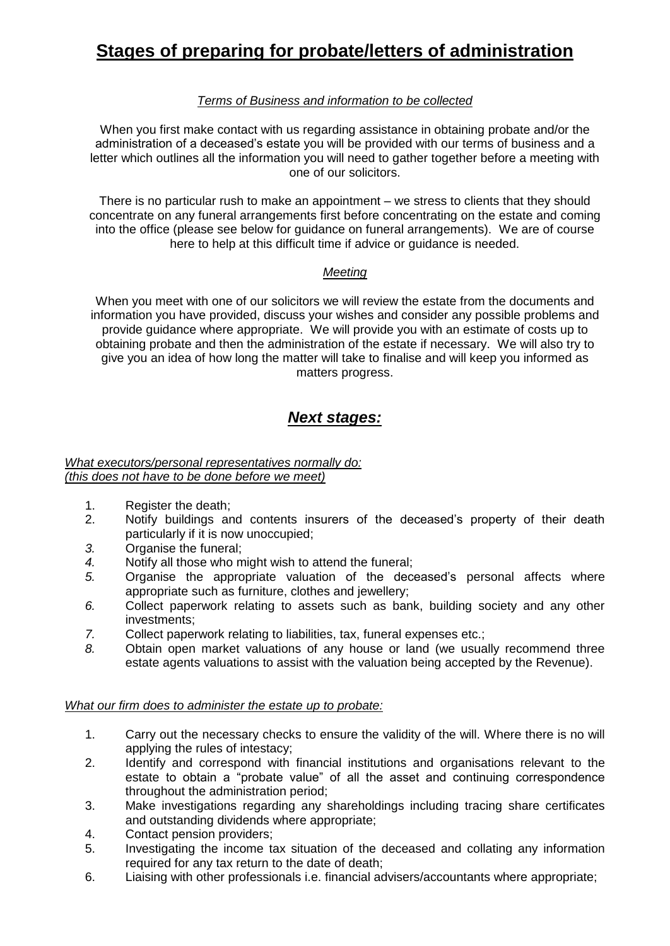# **Stages of preparing for probate/letters of administration**

## *Terms of Business and information to be collected*

When you first make contact with us regarding assistance in obtaining probate and/or the administration of a deceased's estate you will be provided with our terms of business and a letter which outlines all the information you will need to gather together before a meeting with one of our solicitors.

There is no particular rush to make an appointment – we stress to clients that they should concentrate on any funeral arrangements first before concentrating on the estate and coming into the office (please see below for guidance on funeral arrangements). We are of course here to help at this difficult time if advice or guidance is needed.

### *Meeting*

When you meet with one of our solicitors we will review the estate from the documents and information you have provided, discuss your wishes and consider any possible problems and provide guidance where appropriate. We will provide you with an estimate of costs up to obtaining probate and then the administration of the estate if necessary. We will also try to give you an idea of how long the matter will take to finalise and will keep you informed as matters progress.

# *Next stages:*

#### *What executors/personal representatives normally do: (this does not have to be done before we meet)*

- 1. Register the death;
- 2. Notify buildings and contents insurers of the deceased's property of their death particularly if it is now unoccupied;
- *3.* Organise the funeral;
- *4.* Notify all those who might wish to attend the funeral;
- *5.* Organise the appropriate valuation of the deceased's personal affects where appropriate such as furniture, clothes and jewellery;
- *6.* Collect paperwork relating to assets such as bank, building society and any other investments;
- *7.* Collect paperwork relating to liabilities, tax, funeral expenses etc.;
- *8.* Obtain open market valuations of any house or land (we usually recommend three estate agents valuations to assist with the valuation being accepted by the Revenue).

### *What our firm does to administer the estate up to probate:*

- 1. Carry out the necessary checks to ensure the validity of the will. Where there is no will applying the rules of intestacy;
- 2. Identify and correspond with financial institutions and organisations relevant to the estate to obtain a "probate value" of all the asset and continuing correspondence throughout the administration period;
- 3. Make investigations regarding any shareholdings including tracing share certificates and outstanding dividends where appropriate;
- 4. Contact pension providers;
- 5. Investigating the income tax situation of the deceased and collating any information required for any tax return to the date of death;
- 6. Liaising with other professionals i.e. financial advisers/accountants where appropriate;